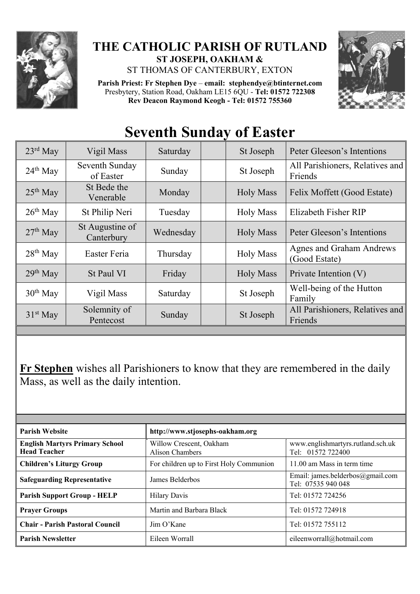

## **THE CATHOLIC PARISH OF RUTLAND ST JOSEPH, OAKHAM &**

ST THOMAS OF CANTERBURY, EXTON

**Parish Priest: Fr Stephen Dye** – **[email: stephendye@btinternet.com](mailto:email:%20%20stephendye@btinternet.com)** Presbytery, Station Road, Oakham LE15 6QU - **Tel: 01572 722308 Rev Deacon Raymond Keogh - Tel: 01572 755360**



## **Seventh Sunday of Easter**

| $23^{\text{rd}}$ May | Vigil Mass                    | Saturday  |  | St Joseph        | Peter Gleeson's Intentions                       |
|----------------------|-------------------------------|-----------|--|------------------|--------------------------------------------------|
| $24th$ May           | Seventh Sunday<br>of Easter   | Sunday    |  | St Joseph        | All Parishioners, Relatives and<br>Friends       |
| $25th$ May           | St Bede the<br>Venerable      | Monday    |  | <b>Holy Mass</b> | Felix Moffett (Good Estate)                      |
| $26th$ May           | St Philip Neri                | Tuesday   |  | <b>Holy Mass</b> | Elizabeth Fisher RIP                             |
| $27th$ May           | St Augustine of<br>Canterbury | Wednesday |  | <b>Holy Mass</b> | Peter Gleeson's Intentions                       |
| $28th$ May           | Easter Feria                  | Thursday  |  | <b>Holy Mass</b> | <b>Agnes and Graham Andrews</b><br>(Good Estate) |
| $29th$ May           | St Paul VI                    | Friday    |  | <b>Holy Mass</b> | Private Intention (V)                            |
| $30th$ May           | Vigil Mass                    | Saturday  |  | St Joseph        | Well-being of the Hutton<br>Family               |
| $31st$ May           | Solemnity of<br>Pentecost     | Sunday    |  | St Joseph        | All Parishioners, Relatives and<br>Friends       |
|                      |                               |           |  |                  |                                                  |

**Fr Stephen** wishes all Parishioners to know that they are remembered in the daily Mass, as well as the daily intention.

| <b>Parish Website</b>                                        | http://www.stjosephs-oakham.org            |                                                        |  |  |
|--------------------------------------------------------------|--------------------------------------------|--------------------------------------------------------|--|--|
| <b>English Martyrs Primary School</b><br><b>Head Teacher</b> | Willow Crescent, Oakham<br>Alison Chambers | www.englishmartyrs.rutland.sch.uk<br>Tel: 01572 722400 |  |  |
| <b>Children's Liturgy Group</b>                              | For children up to First Holy Communion    | 11.00 am Mass in term time                             |  |  |
| <b>Safeguarding Representative</b>                           | James Belderbos                            | Email: james.belderbos@gmail.com<br>Tel: 07535 940 048 |  |  |
| <b>Parish Support Group - HELP</b>                           | <b>Hilary Davis</b>                        | Tel: 01572 724256                                      |  |  |
| <b>Prayer Groups</b>                                         | Martin and Barbara Black                   | Tel: 01572 724918                                      |  |  |
| <b>Chair - Parish Pastoral Council</b>                       | Jim O'Kane                                 | Tel: 01572 755112                                      |  |  |
| <b>Parish Newsletter</b>                                     | Eileen Worrall                             | eileenworrall@hotmail.com                              |  |  |